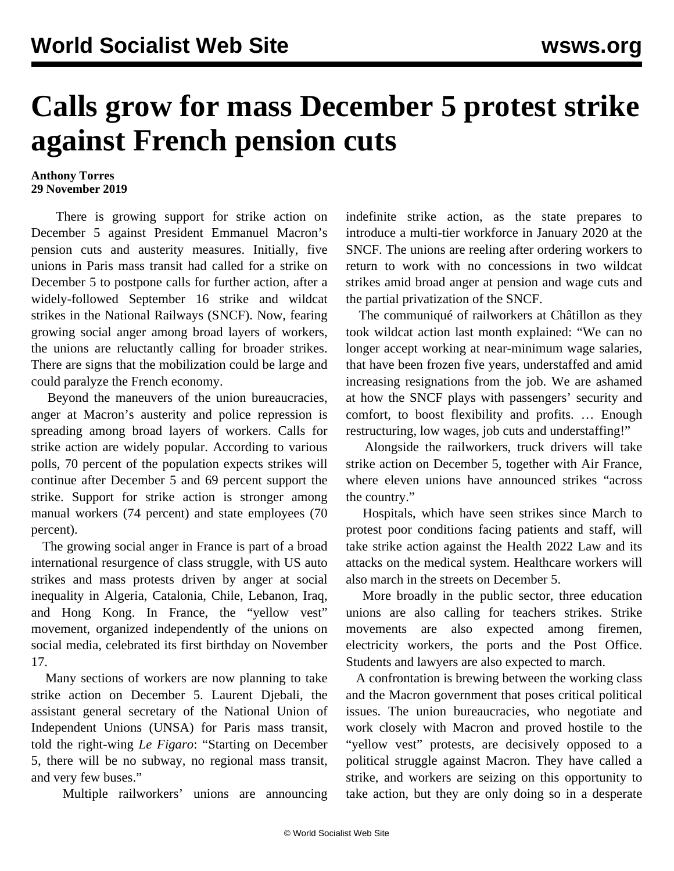## **Calls grow for mass December 5 protest strike against French pension cuts**

## **Anthony Torres 29 November 2019**

 There is growing support for strike action on December 5 against President Emmanuel Macron's pension cuts and austerity measures. Initially, five unions in Paris mass transit had called for a strike on December 5 to postpone calls for further action, after a widely-followed September 16 strike and wildcat strikes in the National Railways (SNCF). Now, fearing growing social anger among broad layers of workers, the unions are reluctantly calling for broader strikes. There are signs that the mobilization could be large and could paralyze the French economy.

 Beyond the maneuvers of the union bureaucracies, anger at Macron's austerity and police repression is spreading among broad layers of workers. Calls for strike action are widely popular. According to various polls, 70 percent of the population expects strikes will continue after December 5 and 69 percent support the strike. Support for strike action is stronger among manual workers (74 percent) and state employees (70 percent).

 The growing social anger in France is part of a broad international resurgence of class struggle, with US auto strikes and mass protests driven by anger at social inequality in Algeria, Catalonia, Chile, Lebanon, Iraq, and Hong Kong. In France, the "yellow vest" movement, organized independently of the unions on social media, celebrated its first birthday on November 17.

 Many sections of workers are now planning to take strike action on December 5. Laurent Djebali, the assistant general secretary of the National Union of Independent Unions (UNSA) for Paris mass transit, told the right-wing *Le Figaro*: "Starting on December 5, there will be no subway, no regional mass transit, and very few buses."

Multiple railworkers' unions are announcing

indefinite strike action, as the state prepares to introduce a multi-tier workforce in January 2020 at the SNCF. The unions are reeling after ordering workers to return to work with no concessions in two wildcat strikes amid broad anger at pension and wage cuts and the partial privatization of the SNCF.

 The communiqué of railworkers at Châtillon as they took wildcat action last month explained: "We can no longer accept working at near-minimum wage salaries, that have been frozen five years, understaffed and amid increasing resignations from the job. We are ashamed at how the SNCF plays with passengers' security and comfort, to boost flexibility and profits. … Enough restructuring, low wages, job cuts and understaffing!"

 Alongside the railworkers, truck drivers will take strike action on December 5, together with Air France, where eleven unions have announced strikes "across the country."

 Hospitals, which have seen strikes since March to protest poor conditions facing patients and staff, will take strike action against the Health 2022 Law and its attacks on the medical system. Healthcare workers will also march in the streets on December 5.

 More broadly in the public sector, three education unions are also calling for teachers strikes. Strike movements are also expected among firemen, electricity workers, the ports and the Post Office. Students and lawyers are also expected to march.

 A confrontation is brewing between the working class and the Macron government that poses critical political issues. The union bureaucracies, who negotiate and work closely with Macron and proved hostile to the "yellow vest" protests, are decisively opposed to a political struggle against Macron. They have called a strike, and workers are seizing on this opportunity to take action, but they are only doing so in a desperate